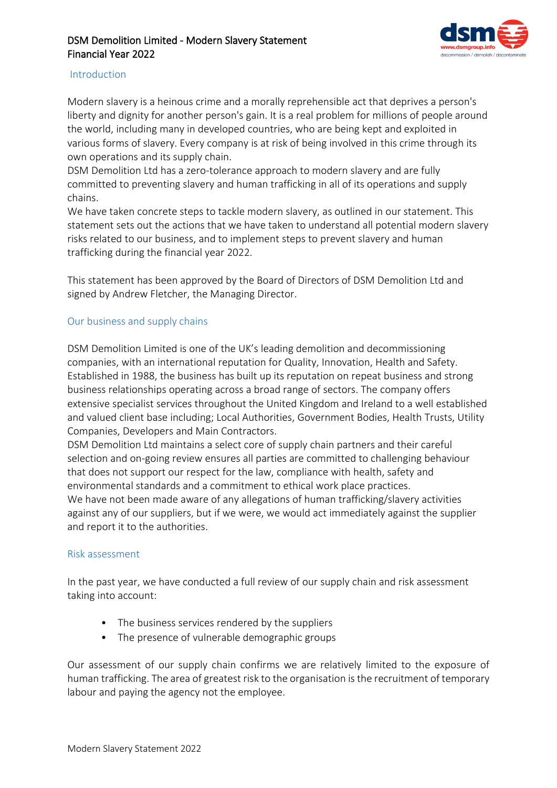

### Introduction

Modern slavery is a heinous crime and a morally reprehensible act that deprives a person's liberty and dignity for another person's gain. It is a real problem for millions of people around the world, including many in developed countries, who are being kept and exploited in various forms of slavery. Every company is at risk of being involved in this crime through its own operations and its supply chain.

DSM Demolition Ltd has a zero-tolerance approach to modern slavery and are fully committed to preventing slavery and human trafficking in all of its operations and supply chains.

We have taken concrete steps to tackle modern slavery, as outlined in our statement. This statement sets out the actions that we have taken to understand all potential modern slavery risks related to our business, and to implement steps to prevent slavery and human trafficking during the financial year 2022.

This statement has been approved by the Board of Directors of DSM Demolition Ltd and signed by Andrew Fletcher, the Managing Director.

## Our business and supply chains

DSM Demolition Limited is one of the UK's leading demolition and decommissioning companies, with an international reputation for Quality, Innovation, Health and Safety. Established in 1988, the business has built up its reputation on repeat business and strong business relationships operating across a broad range of sectors. The company offers extensive specialist services throughout the United Kingdom and Ireland to a well established and valued client base including; Local Authorities, Government Bodies, Health Trusts, Utility Companies, Developers and Main Contractors.

DSM Demolition Ltd maintains a select core of supply chain partners and their careful selection and on-going review ensures all parties are committed to challenging behaviour that does not support our respect for the law, compliance with health, safety and environmental standards and a commitment to ethical work place practices. We have not been made aware of any allegations of human trafficking/slavery activities against any of our suppliers, but if we were, we would act immediately against the supplier and report it to the authorities.

#### Risk assessment

In the past year, we have conducted a full review of our supply chain and risk assessment taking into account:

- The business services rendered by the suppliers
- The presence of vulnerable demographic groups

Our assessment of our supply chain confirms we are relatively limited to the exposure of human trafficking. The area of greatest risk to the organisation is the recruitment of temporary labour and paying the agency not the employee.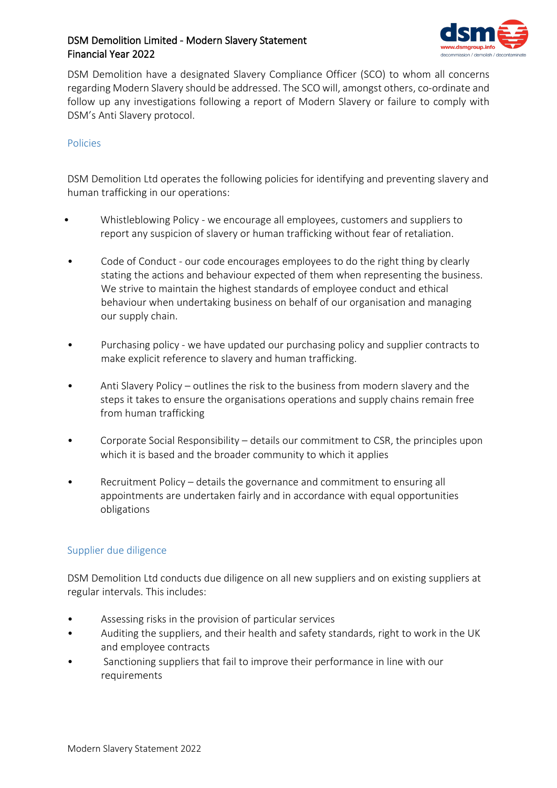

DSM Demolition have a designated Slavery Compliance Officer (SCO) to whom all concerns regarding Modern Slavery should be addressed. The SCO will, amongst others, co-ordinate and follow up any investigations following a report of Modern Slavery or failure to comply with DSM's Anti Slavery protocol.

### Policies

DSM Demolition Ltd operates the following policies for identifying and preventing slavery and human trafficking in our operations:

- Whistleblowing Policy we encourage all employees, customers and suppliers to report any suspicion of slavery or human trafficking without fear of retaliation.
- Code of Conduct our code encourages employees to do the right thing by clearly stating the actions and behaviour expected of them when representing the business. We strive to maintain the highest standards of employee conduct and ethical behaviour when undertaking business on behalf of our organisation and managing our supply chain.
- Purchasing policy we have updated our purchasing policy and supplier contracts to make explicit reference to slavery and human trafficking.
- Anti Slavery Policy outlines the risk to the business from modern slavery and the steps it takes to ensure the organisations operations and supply chains remain free from human trafficking
- Corporate Social Responsibility details our commitment to CSR, the principles upon which it is based and the broader community to which it applies
- Recruitment Policy details the governance and commitment to ensuring all appointments are undertaken fairly and in accordance with equal opportunities obligations

#### Supplier due diligence

DSM Demolition Ltd conducts due diligence on all new suppliers and on existing suppliers at regular intervals. This includes:

- Assessing risks in the provision of particular services
- Auditing the suppliers, and their health and safety standards, right to work in the UK and employee contracts
- Sanctioning suppliers that fail to improve their performance in line with our requirements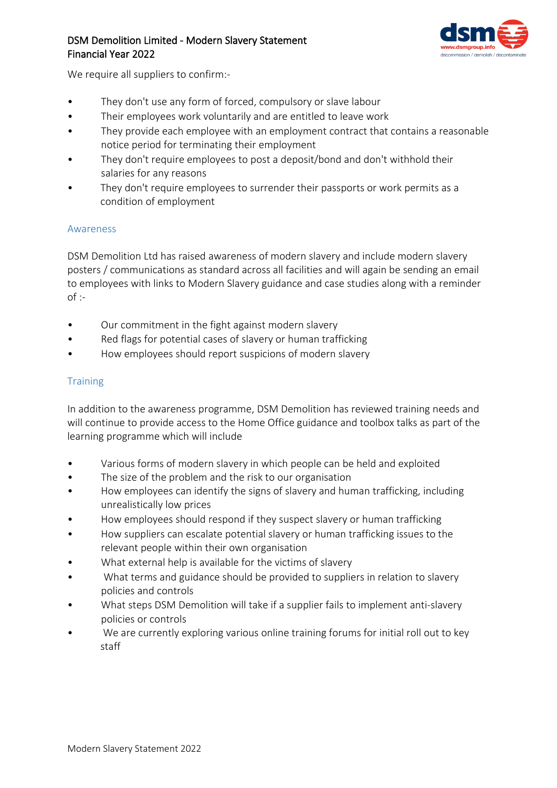

We require all suppliers to confirm:-

- They don't use any form of forced, compulsory or slave labour
- Their employees work voluntarily and are entitled to leave work
- They provide each employee with an employment contract that contains a reasonable notice period for terminating their employment
- They don't require employees to post a deposit/bond and don't withhold their salaries for any reasons
- They don't require employees to surrender their passports or work permits as a condition of employment

### Awareness

DSM Demolition Ltd has raised awareness of modern slavery and include modern slavery posters / communications as standard across all facilities and will again be sending an email to employees with links to Modern Slavery guidance and case studies along with a reminder  $of$  :-

- Our commitment in the fight against modern slavery
- Red flags for potential cases of slavery or human trafficking
- How employees should report suspicions of modern slavery

### **Training**

In addition to the awareness programme, DSM Demolition has reviewed training needs and will continue to provide access to the Home Office guidance and toolbox talks as part of the learning programme which will include

- Various forms of modern slavery in which people can be held and exploited
- The size of the problem and the risk to our organisation
- How employees can identify the signs of slavery and human trafficking, including unrealistically low prices
- How employees should respond if they suspect slavery or human trafficking
- How suppliers can escalate potential slavery or human trafficking issues to the relevant people within their own organisation
- What external help is available for the victims of slavery
- What terms and guidance should be provided to suppliers in relation to slavery policies and controls
- What steps DSM Demolition will take if a supplier fails to implement anti-slavery policies or controls
- We are currently exploring various online training forums for initial roll out to key staff